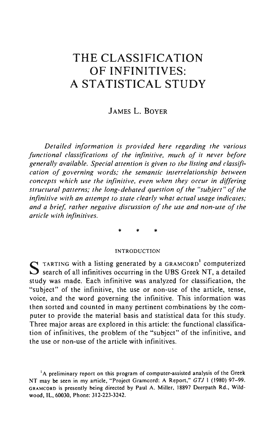# **THE CLASSIFICATION OF INFINITIVES:**  A **STATISTICAL STUDY**

# JAMES L. BOYER

*Detailed information is provided here regarding the various functional classifications of the infinitive, much of it never before generally available. Special attention is given to the listing and classification of governing words; the semantic interrelationship between concepts which use the infinitive, even when they occur in differing structural patterns; the long-debated question of the "subject" of the infinitive with an attempt to state clearly what actual usage indicates; and a brief, rather negative discussion of the use and non-use of the article with irifinitives.* 

\* \* \*

#### INTRODUCTIOK

S TARTING with a listing generated by a GRAMCORD' computerized  $S$  search of all infinitives occurring in the UBS Greek NT, a detailed study was made. Each infinitive was analyzed for classification, the "subject" of the infinitive, the use or non-use of the article, tense, voice, and the word governing the infinitive. This information was then sorted and counted in many pertinent combinations by the computer to provide the material basis and statistical data for this study. Three major areas are explored in this article: the functional classification of infinitives, the problem of the "subject" of the infinitive, and the use or non-use of the article with infinitives.

<sup>1</sup>A preliminary report on this program of computer-assisted analysis of the Greek NT may be seen in my article, "Project Gramcord: A Report," *GTJ* I (1980) 97-99. GRAMCORD is presently being directed by Paul A. Miller, 18897 Oeerpath Rd. , Wildwood, IL, 60030, Phone: 312-223-3242.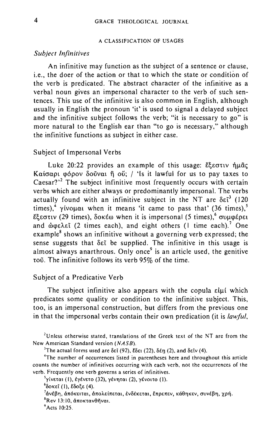#### A CLASSIFICATION OF USAGES

## *Subject Infinitives*

An infinitive may function as the subject of a sentence or clause, i.e., the doer of the action or that to which the state or condition of the verb is predicated. The abstract character of the infinitive as a verbal noun gives an impersonal character to the verb of such sentences. This use of the infinitive is also common in English, although usually in English the pronoun 'it' is used to signal a delayed subject and the infinitive subject follows the verb; "it is necessary to go" is more natural to the English ear than "to go is necessary," although the infinitive functions as subject in either case.

### Subject of Impersonal Verbs

Luke 20:22 provides an example of this usage:  $\mathcal{E}$ Ecotiv flu $\tilde{a}$ c Kai $\sigma$ apt  $\phi$ ópov  $\delta$ oŭvat  $\ddot{\theta}$  oŭ; / 'Is it lawful for us to pay taxes to  $\text{Caesar?}^2$  The subject infinitive most frequently occurs with certain verbs which are either always or predominantly impersonal. The verbs actually found with an infinitive subject in the NT are  $\delta \varepsilon \tilde{\tau}^3$  (120) times),<sup>4</sup>  $\gamma$ *ivolat* when it means 'it came to pass that' (36 times),<sup>5</sup>  $E$ εστιν (29 times), δοκέω when it is impersonal (5 times), συμφέρει and  $\omega$  $\varphi$  $\lambda \in$  (2 times each), and eight others (I time each).<sup>7</sup> One example' shows an infinitive without a governing verb expressed; the sense suggests that  $\delta \varepsilon$  be supplied. The infinitive in this usage is almost always anarthrous. Only once<sup>9</sup> is an article used, the genitive τοῦ. The infinitive follows its verb 95% of the time.

### Subject of a Predicative Verb

The subject infinitive also appears with the copula elui which predicates some quality or condition to the infinitive subject. This, too, is an impersonal construction, but differs from the previous one in that the impersonal verbs contain their own predication (it is *lawful,* 

**2Unless otherwise stated, translations of the Greek text of the NT are from the**  New American Standard version (NASB).

<sup>3</sup>The actual forms used are  $\delta \varepsilon i$  (92),  $\delta \delta \varepsilon i$  (22).  $\delta \varepsilon \eta$  (2). and  $\delta \varepsilon i v$  (4).

**4The number of occurrences listed in parentheses here and throughout this article counts the number of infinitives occurring with each verb. not the occurrences of the verb. Frequently one verb governs a series of infinitives.** 

 $\frac{3}{7}$ γίνεται (Ι), έγένετο (32), γένηται (2), γένοιτο (1).

 $6$ δοκεί (1), έδοξε (4).

<sup>7</sup>άνέβη, άπόκειται, άπολείπεται, ἐνδέκεται, ἔπρεπεν, κάθηκεν, συνέβη, χρή.

 ${}^{8}$ Rev 13:10, **άποκτανθήναι**.

9 Acts 10:25.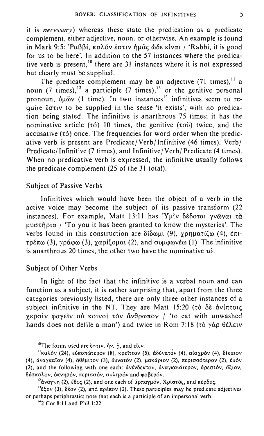it is *necessary*) whereas these state the predication as a predicate complement, either adjective, noun, or otherwise. An example is found in Mark 9:5: 'Ραββί, καλόν έστιν ήμας ώδε είναι / 'Rabbi, it is good for us to be here'. **In** addition to the 57 instances where the predicative verb is present,<sup>10</sup> there are 31 instances where it is not expressed but clearly must be supplied.

The predicate complement may be an adjective  $(71 \text{ times})$ ,<sup>11</sup> a noun (7 times),<sup>12</sup> a participle (7 times),<sup>13</sup> or the genitive personal pronoun,  $\delta \mu \tilde{\omega}$  (1 time). In two instances<sup>14</sup> infinitives seem to require Eatly to be supplied in the sense 'it exists', with no predication being stated. The infinitive is anarthrous 75 times; it has the nominative article ( $\tau$ ó) 10 times, the genitive ( $\tau$ oῦ) twice, and the  $accusative (to)$  once. The frequencies for word order when the predicative verb is present are Predicate/ Verb/Infinitive (46 times), Verb/ Predicate/ Infinitive (7 times), and Infinitive / Verb/ Predicate (4 times). When no predicative verb is expressed, the infinitive usually follows the predicate complement (25 of the 31 total).

### Subject of Passive Verbs

Infinitives which would have been the object of a verb in the active voice may become the subject of its passive transform (22 instances). For example, Matt 13:11 has 'Υμϊν δέδοται γνώναι τὰ  $\mu$ uvotnona / 'To you it has been granted to know the mysteries'. The verbs found in this construction are  $\delta$ i $\delta$ ωμι (9), yonuατiζω (4), έπι- $\tau$  $\varphi$ <sub>kw</sub> (3),  $\varphi$  $\varphi$ (3),  $\varphi$  $\varphi$  $\varphi$ ( $\varphi$ ),  $\varphi$ ), and  $\varphi$  $\varphi$  $\varphi$ (1). The infinitive is anarthrous 20 times; the other two have the nominative  $\tau$ ó.

### Subject of Other Verbs

**In** light of the fact that the infinitive is a verbal noun and can function as a subject, it is rather surprising that, apart from the three categories previously listed, there are only three other instances of a subject infinitive in the NT. They are Matt 15:20 (τὸ δὲ ἀνίπτοις χερσίν φαγείν ού κοινοί τον ἄνθρωπον / 'to eat with unwashed hands does not defile a man') and twice in Rom 7:18 (τὸ γὰρ θέλειν

 $13$ <sub>E</sub> (3),  $\delta$ *tov* (2), and  $\pi$ *ptrov* (2). These participles may be predicate adjectives **or perhaps periphrastic; note that each is a participle of an impersonal verb.** 

142 Cor 8: II and Phil 1:22.

<sup>&</sup>lt;sup>10</sup> The forms used are *Ε*στιν, ήν, ή, and είεν.

<sup>&</sup>lt;sup>11</sup>καλόν (24), εύκοπώτερον (8), κρεϊττον (5), άδύνατον (4), αίσχρόν (4), δίκαιον (4), άναγκαΐον (4), άθέμιτον (3), δυνατόν (2), μακάριον (2), περισσότερον (2), εμόν (2), and the following with one each: ἀνένδεκτον, ἀναγκαιότερον, ἀρεστόν, ἄξιον, δύσκολον, όκνηρόν, περισσόν, σκληρόν and φοβερόν.

<sup>&</sup>lt;sup>12</sup>άνάγκη (2), έθος (2), and one each of άρπαγμόν, Χριστός, and κέρδος.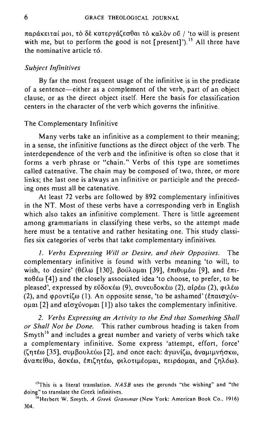παράκειταί μοι, τὸ δὲ κατεργάζεσθαι τὸ καλὸν οῦ / 'to will is present with me, but to perform the good is not [present]').<sup>15</sup> All three have the nominative article  $\tau$ ó.

### *Subject Infinitives*

By far the most frequent usage of the infinitive is in the predicate of a sentence-either as a complement of the verb, part of an object clause, or as the direct object itself. Here the basis for classification centers in the character of the verb which governs the infinitive.

### The Complementary Infinitive

Many verbs take an infinitive as a complement to their meaning; in a sense, the infinitive functions as the direct object of the verb. The interdependence of the verb and the infinitive 'is often so close that it forms a verb phrase or "chain." Verbs of this type are sometimes called catenative. The chain may be composed of two, three, or more links; the last one is always an infinitive or participle and the preceding ones must all be catenative.

At least 72 verbs are followed by 892 complementary infinitives in the NT. Most of these verbs have a corresponding verb in English which also takes an infinitive complement. There is little agreement among grammarians in classifying these verbs, so the attempt made here must be a tentative and rather hesitating one. This study classifies six categories of verbs that take complementary infinitives.

*1. Verbs Expressing Will or Desire. and their Opposites.* The complementary infinitive is found with verbs meaning 'to will, to wish, to desire' ( $\theta \in \lambda \omega$  [130],  $\beta \omega \lambda \omega \omega$  [39],  $\epsilon \pi \iota \theta \nu \mu \epsilon \omega$  [9], and  $\epsilon \pi \iota$ - $\pi$ o $\theta$ *έ*ω [4]) and the closely associated idea 'to choose, to prefer, to be pleased', expressed by  $\epsilon\delta\delta\alpha\epsilon\omega$  (9),  $\sigma\upsilon\upsilon\delta\alpha\epsilon\omega$  (2),  $\alpha i\rho\epsilon\omega$  (2),  $\varphi i\lambda\epsilon\omega$ (2), and  $\varphi$ ροντίζω (1). An opposite sense, 'to be ashamed' (επαισγύνομαι [2] and αίσχύνομαι [1]) also takes the complementary infinitive.

*2. Verbs Expressing an Activity to the End that Something Shall or Shall Not be Done.* This rather cumbrous heading is taken from Smyth<sup>16</sup> and includes a great number and variety of verbs which take a complementary infinitive. Some express 'attempt, effort, force'  $(\zeta\eta\tau\epsilon\omega$  [35], συμβουλεύω [2], and once each: αγωνίζω, αναμιμνήσκω, άναπείθω, άσκέω, επιζητέω, φιλοτιμέομαι, πειράομαι, and ζηλόω).

<sup>&</sup>lt;sup>15</sup>This is a literal translation. *NASB* uses the gerunds "the wishing" and "the **doing" to translate the Greek infinitives.** 

**<sup>16</sup>Herbert W. Smyth,** *A Greek Grammar* **(New York: American Book Co. , 1916)**  304.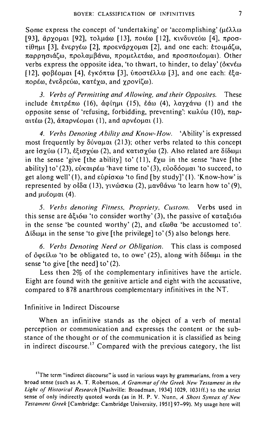Some express the concept of 'undertaking' or 'accomplishing'  $(\mu \in \lambda \lambda \omega)$ [93], άργομαι [92], τολμάω [13], ποιέω [12], κινδυνεύω [4], προσ- $\tau$ ίθημι [3], ένεργέω [2], προενάργομαι [2], and one each: έτοιμάζω, παρρησιάζω, προλαμβάνω, προμελετάω, and προσποιέομαι). Other verbs express the opposite idea, 'to thwart, to hinder, to delay' ( $\delta$ KVEW)  $[12]$ , φοβέομαι [4], ένκόπτω [3], ύποστέλλω [3], and one each: έξα- $\pi$ ορέω, ένεδρεύω, κατέγω, and γρονίζω).

*3. Verbs of Permitting and Allowing, and their Opposites.* These include  $\ell \pi \iota \tau \partial \ell \pi \omega$  (16),  $\dot{\alpha} \varphi \iota \iota \iota \iota \iota$  (4),  $\lambda \alpha \nu \gamma \dot{\alpha} \nu \omega$  (1) and the opposite sense of 'refusing, forbidding, preventing':  $\kappa \omega \lambda \omega \omega$  (10),  $\pi \alpha \rho$ αιτέω (2), απαρνέομαι (1), and αρνέομαι (1).

*4. Verbs Denoting Ability and Know-How.* 'Ability' is expressed most frequently by  $\delta \dot{\nu}$   $\alpha \mu \alpha$  (213); other verbs related to this concept are  $i\sigma\chi$ ύω (17), έξισχύω (2), and κατισχύω (2). Also related are δίδωμι in the sense 'give [the ability] to' (11),  $\ell \chi \omega$  in the sense 'have [the ability] to' (23),  $\varepsilon \psi \kappa \alpha \rho \varepsilon \omega$  'have time to' (3),  $\varepsilon \psi \delta \delta \phi \mu \alpha$  'to succeed, to get along well' (1), and  $\varepsilon$ vo for  $\omega$  'to find [by study]' (1). 'Know-how' is represented by  $\partial \delta \alpha$  (13),  $\gamma \nu \omega \sigma \kappa \omega$  (2),  $\mu \alpha \nu \theta \dot{\alpha} \nu \omega$  'to learn how to' (9), and  $\mu\nu\epsilon$ <sub>O</sub> $\mu\alpha$ <sub>1</sub> (4).

*5. Verbs denoting Fitness, Propriety, Custom.* Verbs used in this sense are  $d\xi\omega$  'to consider worthy' (3), the passive of  $\kappa\alpha\tau\alpha\xi\omega$ in the sense 'be counted worthy' (2), and  $\varepsilon \tilde{\omega} \theta \alpha$  'be accustomed to'.  $\Delta$ i $\delta$  $\omega$ u in the sense 'to give [the privilege] to' (5) also belongs here.

*6. Verbs Denoting Need or Obligation.* This class is composed of  $\delta \varphi \in \partial \omega$  'to be obligated to, to owe' (25), along with  $\delta \delta \varphi$  in the sense 'to give [the need] to' (2).

Less then 2% of the complementary infinitives have the article. Eight are found with the genitive article and eight with the accusative, compared to 878 anarthrous complementary infinitives in the NT.

### Infinitive in Indirect Discourse

When an infinitive stands as the object of a verb of mental perception or communication and expresses the content or the substance of the thought or of the communication it is classified as being in indirect discourse.<sup>17</sup> Compared with the previous category, the list

**17The term "indirect discourse" is used in various ways by grammarians. from a very broad sense (such as A. T. Robertson,** *A Grammar o/the Greek New Testament in the Ughl of Historical Research* [Nashville: Broadman, 1934] 1029, 103Iff.) to the strict sense of only indirectly quoted words (as in H. P. V. Nunn, *A Short Syntax of New Teslament Greek* [Cambridge: Cambridge University, 1951] 97-99). My usage here will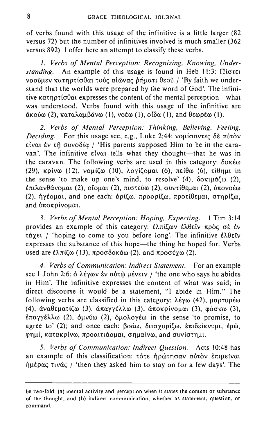of verbs found with this usage of the infinitive is a little larger (82 versus 72) but the number of infinitives involved is much smaller (362 versus 892). I offer here an attempt to classify these verbs.

*1. Verbs of Mental Perception: Recognizing, Knowing, Understanding.* An example of this usage is found in Heb 11:3: Πίστει VOOULEV Kατηρτίσθαι τους αιώνας δήματι θεού / 'By faith we understand that the worlds were prepared by the word of God'. The infinitive  $\kappa \alpha \tau n \sigma \tau$  is expresses the content of the mental perception-what was understood. Verbs found with this usage of the infinitive are  $\alpha$ κούω (2), καταλαμβάνω (1), νοέω (1), οίδα (1), and θεωρέω (1).

*2. Verbs of Mental Perception: Thinking, Believing, Feeling, Deciding.* For this usage see, e.g., Luke 2:44: voujoavtee δε αύτον είναι έν τῆ συνοδία / 'His parents supposed Him to be in the caravan'. The infinitive  $\epsilon\bar{v}$  tells what they thought-that he was in the caravan. The following verbs are used in this category:  $\delta$ okéw (29), κρίνω (12), νομίζω (10), λογίζομαι (6), πείθω (6), τίθημι in the sense 'to make up one's mind, to resolve' (4),  $\delta$ o $\kappa$  $\mu$ ú $\zeta$  (2), επιλανθάνομαι (2), οΐομαι (2), πιστεύω (2), συντίθεμαι (2), ύπονοέω (2), ήγέομαι, and one each: δρίζω, προορίζω, προτίθεμαι, στηρίζω, and υποκρίνομαι.

*3. Verbs of Mental Perception: Hoping, Expecting.* I Tim 3: 14 provides an example of this category: *ελπίζων ελθεΐν πρός σε έν* τάχει / 'hoping to come to you before long'. The infinitive έλθεῖν expresses the substance of this hope—the thing he hoped for. Verbs used are  $\ell\lambda\pi\ell\omega$  (13),  $\pi\rho\sigma\delta\sigma\kappa\omega$  (2), and  $\pi\rho\sigma\epsilon\gamma\omega$  (2).

*4. Verbs of Communication: Indirect Statement.* For an example see 1 John 2:6: δ λέγων ἐν αὐτῶ μένειν / 'the one who says he abides in Him'. The infinitive expresses the content of what was said; in direct discourse **it** would be a statement, **"\** abide in Him." The following verbs are classified in this category:  $\lambda \epsilon y_0$  (42),  $\mu \alpha \sigma \tau \nu \sigma \epsilon \omega$ (4), αναθεματίζω (3), απαγγέλλω (3), αποκρίνομαι (3), φάσκω (3),  $\frac{\partial \pi}{\partial \gamma}$ έλλω (2),  $\frac{\partial \mu}{\partial \omega}$  (2),  $\frac{\partial \mu}{\partial \omega}$  (o  $\frac{\partial \mu}{\partial \omega}$  in the sense 'to promise, to agree to' (2); and once each: βοάω, διισχυρίζω, επιδείκνυμι, έρῶ, φημί, κατακρίνω, προαιτιάομαι, σημαίνω, and συνίστημι.

*5. Verbs of Communication: Indirect Question.* Acts 10:48 has an example of this classification: τότε ήρώτησαν αύτον επιμείναι  $\eta\mu\epsilon\rho\alpha\zeta$  tiv $\alpha\zeta$  / 'then they asked him to stay on for a few days'. The

**be two-fold: (a) mental activity and perception when it states the content or substance of the thought, and (b) indirect communication, whether as statement, question, or command.**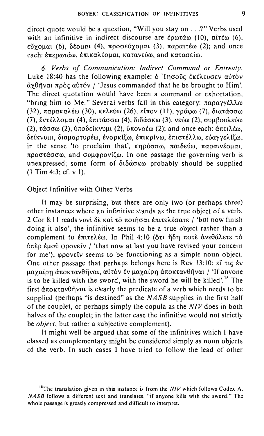direct quote would be a question, "Will you stay on . . .?" Verbs used with an infinitive in indirect discourse are  $\epsilon$ ρωτάω (10), αἰτέω (6),  $ε\check{v}$ γομαι (6), δέομαι (4), προσεύγομαι (3), παραιτέω (2); and once each: επερωτάω, επικαλέομαι, κατανεύω, and κατασείω.

*6. Verbs of Communication: Indirect Command or Entreaty.*  Luke 18:40 has the following example:  $\delta$  'Ingout  $\epsilon$  Ke $\delta$  Eugenov autov  $\dot{\alpha}$ <sup>2</sup>θηναι πρός αύτόν / 'Jesus commanded that he be brought to Him'. The direct quotation would have been a command or exhortation, "bring him to Me." Several verbs fall in this category:  $\pi \alpha \rho \alpha \gamma \gamma \epsilon \lambda \lambda \omega$ (32), παρακαλέω (30), κελεύω (26), είπον (11), γράφω (7), διατάσσω (7), εντέλλομαι (4), επιτάσσω (4), διδάσκω (3), νεύω (2), συμβουλεύω (2), τάσσω (2), ύποδείκνυμι (2), ύπονοέω (2); and once each: άπειλέω, δείκνυμι, διαμαρτυρέω, ένορκίζω, επικρίνω, επιστέλλω, ευαγγελίζω, in the sense 'to proclaim that',  $\kappa n \rho \dot{\rho} \sigma \sigma \omega$ ,  $\pi \alpha \dot{\delta} \epsilon \dot{\omega} \omega$ ,  $\pi \alpha \rho \alpha \dot{\nu} \epsilon \dot{\rho} \omega \dot{\alpha}$ ,  $\pi$ pootáoow, and ovu povil(w. In one passage the governing verb is unexpressed; some form of διδάσκω probably should be supplied (I Tim 4:3; cf. V I).

### Object Infinitive with Other Verbs

It may be surprising, but there are only two (or perhaps three) other instances where an infinitive stands as the true object of a verb. 2 Cor 8:11 reads vuvi δέκαι το ποιήσαι έπιτελέσατε / 'but now finish doing it also'; the infinitive seems to be a true object rather than a complement to επιτελέω. In Phil 4:10 (ότι ήδη ποτε ανεθάλετε το lJltEP EJ.loii <ppovElv / 'that now at last you have revived your concern for me'),  $\omega$ *povetv* seems to be functioning as a simple noun object. One other passage that perhaps belongs here is Rev 13:10:  $\epsilon\zeta$  tic  $\zeta v$ μαγαίρη άποκτανθῆναι, αὐτὸν ἐν μαγαίρη ἀποκτανθῆναι / 'If anyone is to be killed with the sword, with the sword he will be killed'.<sup>18</sup> The first  $\hat{\alpha}$ ποκτανθῆναι is clearly the predicate of a verb which needs to be supplied (perhaps "is destined" as the  $NASB$  supplies in the first half of the couplet, or perhaps simply the copula as the *NIV* does in both halves of the couplet; in the latter case the infinitive would not strictly be *object*, but rather a subjective complement).

It might well be argued that some of the infinitives which I have classed as complementary might be considered simply as noun objects of the verb. In such cases I have tried to follow the lead of other

<sup>&</sup>lt;sup>18</sup>The translation given in this instance is from the *NIV* which follows Codex A. NASB follows a different text and translates. "if anyone kills with the sword." The **whole passage is greatly compressed and difficult to interpret.**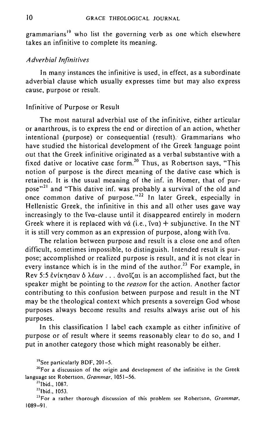grammarians'9 who list the governing verb as one which elsewhere takes an infinitive to complete its meaning.

### *Adverbial Infinitives*

In many instances the infinitive is used, in effect, as a subordinate adverbial clause which usually expresses time but may also express cause, purpose or result.

### Infinitive of Purpose or Result

The most natural adverbial use of the infinitive, either articular or anarthrous, is to express the end or direction of an action, whether intentional (purpose) or consequential (result). Grammarians who have studied the historical development of the Greek language point out that the Greek infinitive originated as a verbal substantive with a fixed dative or locative case form.<sup>20</sup> Thus, as Robertson says, "This notion of purpose is the direct meaning of the dative case which is retained. It is the usual meaning of the inf. in Homer, that of purpose"<sup>21</sup> and "This dative inf. was probably a survival of the old and once common dative of purpose."<sup>22</sup> In later Greek, especially in Hellenistic Greek, the infinitive in this and all other uses gave way increasingly to the  $\alpha$ -clause until it disappeared entirely in modern Greek where it is replaced with vá (i.e.,  $f(v\alpha)$ ) + subjunctive. In the NT it is still very common as an expression of purpose, along with  $\beta \alpha$ .

The relation between purpose and result is a close one and often difficult, sometimes impossible, to distinguish. Intended result is purpose; accomplished or realized purpose is result, and it is not clear in every instance which is in the mind of the author.<sup>23</sup> For example, in Rev 5:5  $\epsilon$ νίκησαν δ λέων ... άνοϊζαι is an accomplished fact, but the speaker might be pointing to the *reason* for the action. Another factor contributing to this confusion between purpose and result in the NT may be the theological context which presents a sovereign God whose purposes always become results and results always arise out of his purposes.

In this classification I label cach example as either infinitive of purpose or of result where it seems reasonably clear to do so, and I put in another category those which might reasonably be either.

<sup>19</sup>See particularly BDF, 201-5.

 $20$ For a discussion of the origin and development of the infinitive in the Greek language see Robertson, *Grammar, 1051-56.* 

<sup>22</sup>lbid., 1053.

23For a rather thorough discussion of this problem see Robertson, *Grammar,*  1089-9\.

<sup>&</sup>lt;sup>21</sup>Ibid., 1087.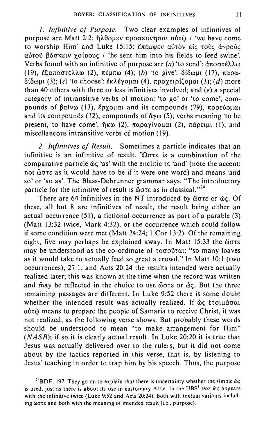*I. Infinitive of Purpose.* Two clear examples of infinitives of purpose are Matt 2:2: ήλθομεν προσκυνήσαι αὐτῶ / 'we have come to worship Him' and Luke 15:15: E $\pi$ ELIWEV autov  $\epsilon$ ic touc dypou- $\alpha\dot{\beta}$ του βόσκειν χοίρους / 'he sent him into his fields to feed swine'. Verbs found with an infinitive of purpose are (a) 'to send':  $\text{d} \pi \text{o} \sigma \tau \hat{\epsilon} \lambda \lambda \omega$ (19), εξαποστέλλω (2), πέμπω (4); (b) 'to give': δίδωμι (17), παρα- $\delta$ ίδωμι (3); (c) 'to choose': εκλέγομαι (4), προγειρίζομαι (3); (d) more than 40 others with three or less infinitives involved; and  $(e)$  a special category of intransitive verbs of motion: 'to go' or 'to come'; compounds of  $\beta\alpha\beta\omega$  (13), Epyou $\alpha$  and its compounds (79),  $\pi$ opeuolal and its compounds (12), compounds of  $\alpha y_\omega$  (5); verbs meaning 'to be present, to have come',  $\eta \kappa \omega$  (2),  $\pi \alpha \rho \alpha \gamma$  (voltat),  $\pi \alpha \rho \epsilon$ <sub>1H</sub>. (1); and miscellaneous intransitive verbs of motion (19).

*2. Infinitives of Result.* Sometimes a particle indicates that an infinitive is an infinitive of result. " $\Omega$  $\sigma \tau \varepsilon$  is a combination of the comparative particle  $\&c$  'as' with the enclitic  $\tau \varepsilon$  'and' (note the accent: not ώστε as it would have to be if it were one word) and means 'and so' or 'so as'. The Blass-Debrunner grammar says, "The introductory particle for the infinitive of result is  $\ddot{\omega}$  ore as in classical."<sup>24</sup>

There are 64 infinitives in the NT introduced by  $\omega \sigma \tau \epsilon$  or  $\omega \epsilon$ . Of these, all but 8 are infinitives of result, the result being either an actual occurrence (51), a fictional occurrence as part of a parable (3) (Matt 13:32 twice, Mark 4:32), or the occurrence which could follow if some condition were met (Matt 24:24; I Cor 13:2). Of the remaining eight, five may perhaps be explained away. In Matt  $15:33$  the  $\omega \sigma \tau \epsilon$ may be understood as the co-ordinate of τοσοῦται: "so many loaves as it would take to actually feed so great a crowd." In Matt 10:1 (two occurrences), 27: I, and Acts 20:24 the results intended were actually realized later; this was known at the time when the record was written and may be reflected in the choice to use  $\&$  or  $\&$  c. But the three remaining passages are different. In Luke 9:52 there is some doubt whether the intended result was actually realized. If  $\phi \varsigma$  *i*:tolu $\phi \sigma \alpha$ <sup>1</sup> αύτ $\ddot{\omega}$  means to prepare the people of Samaria to receive Christ, it was not realized, as the following verse shows. But probably these words should be understood to mean "to make arrangement for Him" (NASB); if so it is clearly actual result. In Luke 20:20 it is true that Jesus was actually delivered over to the rulers, but it did not come about by the tactics reported in this verse, that is, by listening to Jesus' teaching in order to trap him by his speech. Thus, the purpose

<sup>&</sup>lt;sup>24</sup>BDF, 197. They go on to explain that there is uncertainty whether the simple  $\omega$ **is used, just as there is about its use in customary Attic. In the UBS<sup>3</sup> text**  $\omega$ **ς appears** with the infinitive twice (Luke 9:52 and Acts 20:24), both with textual variants including wore and both with the meaning of intended result (i.e., purpose).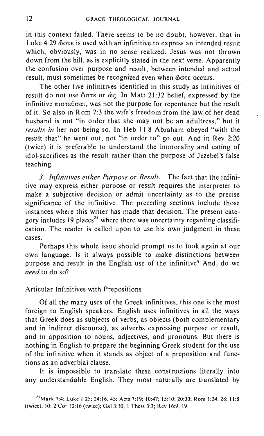in this context failed. There seems to be no doubt, however, that in Luke  $4:29$   $\ddot{\omega}$  are is used with an infinitive to express an intended result which, obviously, was in no sense realized. Jesus was not thrown down from the hill, as is explicitly stated in the next verse. Apparently the confusion over purpose and result, between intended and actual result, must sometimes be recognized even when  $\ddot{\omega}$  occurs.

The other five infinitives identified in this study as infinitives of result do not use  $\omega \sigma \tau \epsilon$  or  $\omega c$ . In Matt 21:32 belief, expressed by the infinitive  $\pi$ <sub>1</sub> $\sigma$ <sub>1</sub> $\sigma$ <sub>1</sub> $\sigma$ <sub>1</sub> $\sigma$ <sub>1</sub>, was not the purpose for repentance but the result of it. So also in Rom 7:3 the wife's freedom from the law of her dead husband is not "in order that she may not be an adultress," but it *results in* her not being so. In Heb 11:8 Abraham obeyed "with the result that" he went out, not "in order to" go out. And in Rev 2:20 (twice) it is preferable to understand the immorality and eating of idol-sacrifices as the result rather than the purpose of lezebel's false teaching.

*3. Infinitives either Purpose or Result.* The fact that the infinitive may express either purpose or result requires the interpreter to make a subjective decision or admit uncertainty as to the precise significance of the infinitive. The preceding sections include those instances where this writer has made that decision. The present category includes 19 places<sup>25</sup> where there was uncertainty regarding classification. The reader is called upon to use his own judgment in these cases.

Perhaps this whole issue should prompt us to look again at our own language. Is it always possible to make distinctions between purpose and result in the English use of the infinitive? And, do we *need* to do so?

### Articular Infinitives with Prepositions

Of all the many uses of the Greek infinitives, this one is the most foreign to English speakers. English uses infinitives in all the ways that Greek does as subjects of verbs, as objects (both complementary and in indirect discourse), as adverbs expressing purpose or result, and in apposition to nouns, adjectives, and pronouns. But there is nothing in English to prepare the beginning Greek student for the use of the infinitive when it stands as object of a preposition and functions as an adverbial clause.

It is impossible to translate these constructions literally into any understandable English. They most naturally are translated by

<sup>&</sup>lt;sup>25</sup> Mark 7:4; Luke 1:25; 24:16, 45; Acts 7:19; 10:47; 15:10; 20:30; Rom 1:24, 28; 11:8 (twice), 10; 2 Cor 10:16 (twice); Gal 3:10; I Thess 3:3; Rev 16:9,19.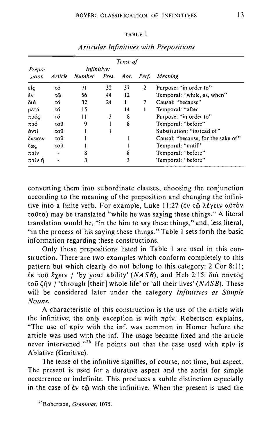| . .<br>. . |
|------------|
|------------|

| Tense of         |                |                                         |    |    |   |                                    |  |  |  |  |
|------------------|----------------|-----------------------------------------|----|----|---|------------------------------------|--|--|--|--|
| Prepo-<br>sition |                | Infinitive:                             |    |    |   |                                    |  |  |  |  |
|                  |                | Article Number Pres. Aor. Perf. Meaning |    |    |   |                                    |  |  |  |  |
| εἰς              | τό             | 71                                      | 32 | 37 | 2 | Purpose: "in order to"             |  |  |  |  |
| έv               | τῶ             | 56                                      | 44 | 12 |   | Temporal: "while, as, when"        |  |  |  |  |
| διά              | τó             | 32                                      | 24 |    | 7 | Causal: "because"                  |  |  |  |  |
| μετά             | τó             | 15                                      |    | 14 | ۱ | Temporal: "after                   |  |  |  |  |
| πρός             | τό             | $\mathbf{1}$                            | 3  | 8  |   | Purpose: "in order to"             |  |  |  |  |
| πρό              | τοῦ            | 9                                       |    | 8  |   | Temporal: "before"                 |  |  |  |  |
| άντί             | τοῦ            |                                         |    |    |   | Substitution: "instead of"         |  |  |  |  |
| <b>EVEKEV</b>    | τοῦ            |                                         |    |    |   | Causal: "because, for the sake of" |  |  |  |  |
| ξως              | τοῦ            |                                         |    |    |   | Temporal: "until"                  |  |  |  |  |
| πρίν             | $\blacksquare$ |                                         |    |    |   | Temporal: "before"                 |  |  |  |  |
| πρίν ή           |                | 3                                       |    | 3  |   | Temporal: "before"                 |  |  |  |  |

*Articular Infi'nitives with Prepositions* 

converting them into subordinate clauses, choosing the conjunction according to the meaning of the preposition and changing the infinitive into a finite verb. For example, Luke 11:27 (εν τ**ω** λέγειν αύτὸν  $\tau\alpha\tilde{\sigma}\tau\alpha$ ) may be translated "while he was saying these things." A literal translation would be, "in the him to say these things," and, less literal, "in the process of his saying these things." Table I sets forth the basic information regarding these constructions.

Only those prepositions listed in Table I are used in this construction. There are two examples which conform completely to this pattern but which clearly do not belong to this category: 2 Cor 8: **II;**   $\epsilon$ <sub>K</sub> τοῦ Eyειν / 'by your ability' *(NASB*), and Heb 2:15: διὰ παντὸς 1:013 1;i'jv I 'through [their] whole life' or 'all their lives' *(NASB) .* These will be considered later under the category *Infinitives as Simple Nouns.* 

A characteristic of this construction is the use of the article with the infinitive; the only exception is with  $\pi \rho$ iv. Robertson explains, "The use of  $\pi \rho i v$  with the inf. was common in Homer before the article was used with the inf. The usage became fixed and the article never intervened."<sup>26</sup> He points out that the case used with  $\pi \rho i v$  is Ablative (Genitive). .

The tense of the infinitive signifies, of course, not time, but aspect. The present is used for a durative aspect and the aorist for simple occurrence or indefinite. This produces a subtle distinction especially in the case of  $\epsilon v \tau \tilde{\omega}$  with the infinitive. When the present is used the

**<sup>26</sup>Robertson. Grammar, 1075.**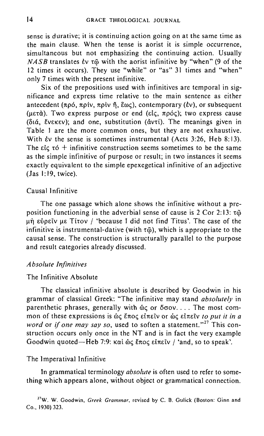sense is durative; it is continuing action going on at the same time as the main clause. When the tense is aorist it is simple occurrence, simultaneous but not emphasizing the continuing action. Usually  $NASB$  translates  $\dot{\epsilon}$   $\upsilon$   $\tau\ddot{\omega}$  with the aorist infinitive by "when" (9 of the 12 times it occurs). They use "while" or "as" 31 times and "when" only 7 times with the present infinitive.

Six of the prepositions used with infinitives are temporal in significance and express time relative to the main sentence as either antecedent ( $\pi \rho \delta$ ,  $\pi \rho$ iv,  $\pi \rho$ iv  $\tilde{\eta}$ ,  $\tilde{\epsilon} \omega$ c), contemporary ( $\tilde{\epsilon}$ v), or subsequent  $($ μετά). Two express purpose or end (είς, πρός); two express cause  $(\delta t \phi, \xi v \epsilon \kappa \epsilon v)$ ; and one, substitution  $(\delta v \tau \delta)$ . The meanings given in Table I are the more common ones, but they are not exhaustive. With  $\dot{\epsilon}v$  the sense is sometimes instrumental (Acts 3:26, Heb 8:13). The  $\epsilon$  ic  $\tau$  o + infinitive construction seems sometimes to be the same as the simple infinitive of purpose or result; in two instances it seems exactly equivalent to the simple epexegetical infinitive of an adjective (las I: 19, twice).

### Causal Infinitive

The one passage which alone shows the infinitive without a preposition functioning in the adverbial sense of cause is 2 Cor 2:13:  $\tau\ddot{\omega}$  $\mu$  in Eupely  $\mu$  It is alleger  $\mu$  because I did not find Titus'. The case of the infinitive is instrumental-dative (with  $\tau$ ), which is appropriate to the causal sense. The construction is structurally parallel to the purpose and result categories already discussed.

### *Absolute Infinitives*

### The Infinitive Absolute

The classical infinitive absolute is described by Goodwin in his grammar of classical Greek: "The infinitive may stand *absolutely* in parenthetic phrases, generally with  $\phi \circ \phi$  or  $\phi$ *oov.* ... The most common of these expressions is **ώς έπος είπεῖν or ώς είπεῖν** *to put it in a word* or *if one may say so*, used to soften a statement."<sup>27</sup> This construction occurs only once in the NT and is in fact the very example Goodwin quoted-Heb 7:9: καὶ ώς ἔπος εἰπεῖν / 'and, so to speak'.

### The Imperatival Infinitive

In grammatical terminology *absolute* is often used to refer to something which appears alone, without object or grammatical connection.

27W. **W. Goodwin,** *Greek Grammar,* **revised by C. B. Gulick (Boston: Ginn and**  Co., 1930) 323.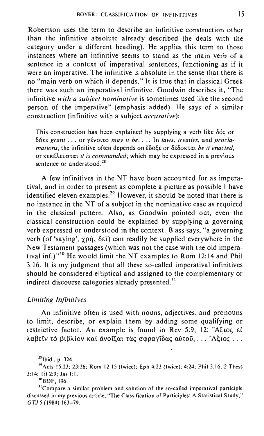Robertson uses the term to describe an infinitive construction other than the infinitive absolute already described (he deals with the category under a different heading). He applies this term to those instances where an infinitive seems to stand as the main verb of a sentence in a context of imperatival sentences, functioning as if it were an imperative. The infinitive is absolute in the sense that there is no "main verb on which it depends." It is true that in classical Greek there was such an imperatival infinitive. Goodwin describes it, "The infinitive *with a subject nominative* is sometimes used like the second person of the imperative" (emphasis added). He says of a similar construction (infinitive with a subject *accusative):* 

This construction has been explained by supplying a verb like  $\delta \phi c$  or liOtE *grant .* .. or yevotto *may it be .* ... In *laws. treaties,* and *proclamations, the infinitive often depends on ἔδοξε or δέδοκται be it enacted,* or κεκέλευσται *it is commanded*; which may be expressed in a previous sentence or understood.<sup>28</sup>

A few infinitives in the NT have been accounted for as imperatival, and in order to present as complete a picture as possible I have identified eleven examples.<sup>29</sup> However, it should be noted that there is no instance in the NT of a subject in the nominative case as required in the classical pattern. Also, as Goodwin pointed out, even the classical construction could be explained by supplying a governing verb expressed or understood in the context. Blass says, "a governing verb (of 'saying',  $\gamma \rho \dot{\eta}$ ,  $\delta \varepsilon \dot{\iota}$ ) can readily be supplied everywhere in the New Testament passages (which was not the case with the old imperatival inf.)<sup>30</sup> He would limit the NT examples to Rom 12:14 and Phil 3: 16. It is my judgment that all these so-called imperatival infinitives should be considered elliptical and assigned to the complementary or indirect discourse categories already presented.<sup>31</sup>

### *Limiting Infinitives*

An infinitive often is used with nouns, adjectives, and pronouns to limit, describe, or explain them by adding some qualifying or restrictive factor. An example is found in Rev 5:9, 12: "A $\xi$ 10 $\xi$  el  $\lambda \alpha \beta \epsilon \tilde{\iota}$ ν το βιβλίον και άνοιζαι τας σφραγίδας αύτου, ... "Αξιος ...

 $^{29}$  Acts 15:23; 23:26; Rom 12:15 (twice); Eph 4:23 (twice); 4:24; Phil 3:16; 2 Thess 3: 14; Tit 2:9; Jas 1:1.

<sup>30</sup>BDF, 196.

**31Compare a similar problem and solution of the so-called imperatival participle**  discussed in my previous article, "The Classification of Participles: A Statistical Study," *GTJ* 5 (1984) 163-79.

 $^{28}$ Ibid., p. 324.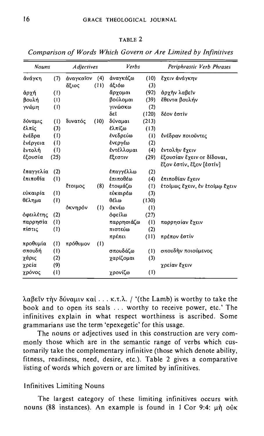| <b>Nouns</b> |      | <b>Adjectives</b> |      | Verbs      |       | Periphrastic Verb Phrases      |  |  |
|--------------|------|-------------------|------|------------|-------|--------------------------------|--|--|
| άνάγκη       | (7)  | άναγκαΐον         | (4)  | άναγκάζω   | (10)  | ἔχειν άνάγκην                  |  |  |
|              |      | ἄξιος             | (11) | άξιόω      | (3)   |                                |  |  |
| άρχή         | (1)  |                   |      | ἄργομαι    | (92)  | άρχὴν λαβεῖν                   |  |  |
| βουλή        | (1)  |                   |      | βούλομαι   | (39)  | έθεντα βουλήν                  |  |  |
| γνώμη        | (1)  |                   |      | γινώσκω    | (2)   |                                |  |  |
|              |      |                   |      | δεῖ        | (120) | δέον εστίν                     |  |  |
| δύναμις      | (1)  | δυνατός           | (10) | δύναμαι    | (213) |                                |  |  |
| έλπίς        | (3)  |                   |      | έλπίζω     | (13)  |                                |  |  |
| ενέδρα       | (1)  |                   |      | ένεδρεύω   | (1)   | ένέδραν ποιοῦντες              |  |  |
| ένέργεια     | (1)  |                   |      | ένεργέω    | (2)   |                                |  |  |
| έντολή       | (1)  |                   |      | εντέλλομαι | (4)   | έντολήν έχειν                  |  |  |
| έξουσία      | (25) |                   |      | Εξεστιν    | (29)  | έξουσίαν έγειν οτ δίδοναι,     |  |  |
|              |      |                   |      |            |       | ἔξον ἐστίν, ἔξον [ἐστίν]       |  |  |
| έπαγγελία    | (2)  |                   |      | έπαγγέλλω  | (2)   |                                |  |  |
| έπιποθία     | (1)  |                   |      | έπιποθέω   | (4)   | έπιποθίαν έγειν                |  |  |
|              |      | έτοιμος           | (8)  | έτοιμάζω   | (1)   | έτοίμως έχειν, έν έτοίμω έχειν |  |  |
| εύκαιρία     | (1)  |                   |      | εύκαιρέω   | (3)   |                                |  |  |
| θέλημα       | (1)  |                   |      | θέλω       | (130) |                                |  |  |
|              |      | όκνηρόν           | (1)  | όκνέω      | (1)   |                                |  |  |
| όφειλέτης    | (2)  |                   |      | όφείλω     | (27)  |                                |  |  |
| παρρησία     | (1)  |                   |      | παρρησιάζω | (1)   | παρρησίαν έχειν                |  |  |
| πίστις       | (1)  |                   |      | πιστεύω    | (2)   |                                |  |  |
|              |      |                   |      | πρέπει     | (11)  | πρέπον έστίν                   |  |  |
| προθυμία     | (1)  | πρόθυμον          | (1)  |            |       |                                |  |  |

TABLE 2

*Comparison of Words Which Govern or Are Limited by lrifinitives* 

 $\lambda$ αβεΐν την δύναμιν και ... κ.τ.λ. / '(the Lamb) is worthy to take the book and to open its seals ... worthy to receive power, etc.' The infinitives explain in what respect worthiness is ascribed. Some grammarians use the term 'epexegetic' for this usage.

σπουδάζω γαρίζομαι γρονίζω

(1) σπουδήν ποιούμενος

**χρείαν έχειν** 

(3) (I)

The nouns or adjectives used in this construction are very commonly those which are in the semantic range of verbs which customarily take the complementary infinitive (those which denote ability, fitness, readiness, need, desire, etc.). Table 2 gives a comparative listing of words which govern or are limited by infinitives.

### Infinitives Limiting Nouns

**onouOT]** (1)  $\gamma$ άρις (2) *xρεία* (9) Xpovo<; (I)

The largest category of these limiting infinitives occurs with nouns (88 instances). An example is found in  $1$  Cor 9:4:  $\mu$ h ouk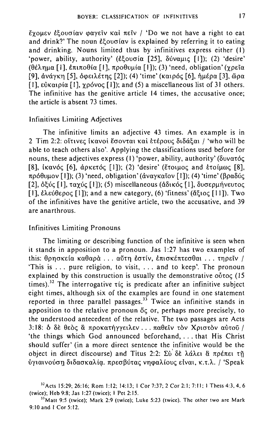EYOUEV ECOUCIAV GAVEIV KAI  $\pi$ EIV / 'Do we not have a right to eat and drink?' The noun *E*{ov $\sigma$ iav is explained by referring it to eating and drinking. Nouns limited thus by infinitives express either (I) 'power, ability, authority' (εξουσία [25], δύναμις [1]); (2) 'desire' (θέλημα [1], επιποθία [1], προθυμία [1]); (3) 'need, obligation' (γρεΐα [9], ανάγκη [5], δφειλέτης [2]); (4) 'time' (καιρός [6], ήμέρα [3], ὥρα [1],  $\epsilon$ ναιρία [1],  $\gamma$ ρόνος [1]); and (5) a miscellaneous list of 31 others. The infinitive has the genitive article 14 times, the accusative once; the article is absent 73 times.

### Infinitives Limiting Adjectives

The infinitive limits an adjective 43 times. An example is in 2 Tim 2:2: οΐτινες ίκανοι έσονται και ετέρους διδάξαι / 'who will be able to teach others also'. Applying the classifications used before for nouns, these adjectives express (1) 'power, ability, authority' ( $\delta v \alpha \tau \delta \zeta$ [8],  $i\kappa a\nu\delta\zeta$  [6],  $d\rho\kappa\epsilon\tau\delta\zeta$  [1]); (2) 'desire' (Etoluoc and Etoiums [8], πρόθυμον [1]); (3) 'need, obligation' (άναγκαῖον [1]); (4) 'time' (βραδύς [2], δξύς [1], ταχύς [1]); (5) miscellaneous (άδικός [1], δυσερμήνευτος  $[1]$ , έλεύθερος  $[1]$ ); and a new category, (6) 'fitness' (ἄξιος  $[11]$ ). Two of the infinitives have the genitive article, two the accusative, and 39 are anarthrous.

## Infinitives Limiting Pronouns

The limiting or describing function of the infinitive is seen when it stands in apposition to a pronoun. Jas 1:27 has two examples of this: θρησκεία καθαρά ... αύτη έστίν, επισκέπτεσθαι ... τηρεΐν / 'This is ... pure religion, to visit, ... and to keep'. The pronoun explained by this construction is usually the demonstrative  $o\delta\tau o\varsigma$  (15 times).<sup>32</sup> The interrogative  $\tau$ ic is predicate after an infinitive subject eight times, although six of the examples are found in one statement reported in three parallel passages.<sup>33</sup> Twice an infinitive stands in apposition to the relative pronoun  $\delta \zeta$  or, perhaps more precisely, to the understood antecedent of the relative. The two passages are Acts 3:18: δ δε θεός & προκατήγγειλεν ... παθεΐν τον Χριστον αύτού / 'the things which God announced beforehand, ... that His Christ should suffer' (in a more direct sentence the infinitive would be the object in direct discourse) and Titus 2:2:  $\Sigma \tilde{\nu}$   $\delta \tilde{\epsilon}$   $\lambda \tilde{\alpha} \lambda \epsilon$   $\tilde{\alpha}$   $\pi \rho \epsilon \pi \epsilon$   $\tilde{\eta}$ ύγιαινούση διδασκαλία. πρεσβύτας νηφαλίους είναι, κ.τ.λ. / 'Speak

<sup>&</sup>quot;Acts 15:29; 26:16; Rom 1:12; 14:13; I Cor 7:37; 2 Cor 2:1; 7:11; I Thess 4:3, 4. 6 (twice); Heb 9:8; Jas 1:27 (twice); I Pet 2:15.

**<sup>33</sup>Matt 9:5 (twice); Mark 2:9 (twice); Luke 5:23 (twice), The other two are Mark**  9: 10 and I Cor 5: 12.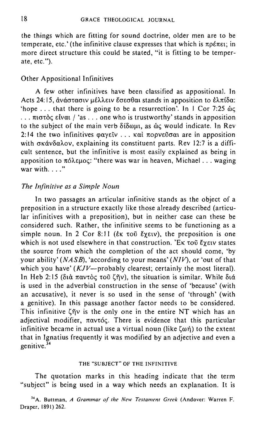the things which are fitting for sound doctrine, older men are to be temperate, etc.' (the infinitive clause expresses that which is  $\pi \rho \epsilon \pi \epsilon_1$ ; in more direct structure this could be stated, "it is fitting to be temperate, etc. ").

# Other Appositional Infinitives

A few other infinitives have been classified as appositional. In Acts 24:15, άνάστασιν μέλλειν έσεσθαι stands in apposition to έλπίδα: 'hope ... that there is going to be a resurrection'. In  $\perp$  Cor 7:25  $\omega$ ...  $\pi$ 10 $\sigma$ c $\alpha$  Elvat / 'as ... one who is trustworthy' stands in apposition to the subject of the main verb  $\delta$ to  $\delta$ u, as  $\delta$  would indicate. In Rev 2:14 the two infinitives  $\omega$ ανεῖν ... καὶ πορνεῦσαι are in apposition with  $\sigma \kappa \dot{\alpha} \nu \delta \alpha \lambda \sigma v$ , explaining its constituent parts. Rev 12:7 is a difficult sentence, but the infinitive is most easily explained as being in apposition to  $\pi$ óλεμος: "there was war in heaven, Michael ... waging war with  $\ldots$ ."

### *The Infinitive as a Simple Noun*

In two passages an articular infinitive stands as the object of a preposition in a structure exactly like those already described (articular infinitives with a preposition), but in neither case can these be considered such. Rather, the infinitive seems to be functioning as a simple noun. In 2 Cor 8:11 ( $\epsilon$ <sub>K</sub> τοῦ *Ĕ*γειν), the preposition is one which is not used elsewhere in that construction.  $E_K \tau \omega \tilde{\nu}$  Exerv states the source from which the completion of the act should come, 'by your ability' *(NASB),* 'according to your means' *(NIV),* or 'out of that which you have'  $(KJV$ --probably clearest; certainly the most literal). In Heb 2:15 (διά παντός του ζήν), the situation is similar. While διά is used in the adverbial construction in the sense of 'because' (with an accusative), it never is so used in the sense of 'through' (with a genitive). In this passage another factor needs to be considered. This infinitive  $\zeta \tilde{\eta} v$  is the only one in the entire NT which has an adjectival modifier,  $\pi\alpha\nu\tau\phi\zeta$ . There is evidence that this particular infinitive became in actual use a virtual noun (like  $\zeta$ on) to the extent that in Ignatius frequently it was modified by an adjective and even a genitive. $34$ 

#### THE "SUBJECT" OF THE INFINITIVE

The quotation marks in this heading indicate that the term "subject" is being used in a way which needs an explanation. It is

<sup>34</sup> A. Buttman, *A Grammar of the New Testament Greek* (Andover: Warren F. Draper, 1891) 262.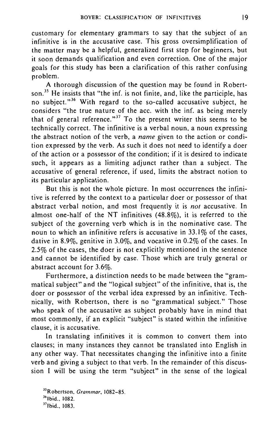customary for elementary grammars to say that the subject of an infinitive is in the accusative case. This gross oversimplification of the matter may be a helpful, generalized first step for beginners, but it soon demands qualification and even correction. One of the major goals for this study has been a clarification of this rather confusing problem.

A thorough discussion of the question may be found in Robertson.<sup>35</sup> He insists that "the inf. is not finite, and, like the participle, has no subject."<sup>36</sup> With regard to the so-called accusative subject, he considers "the true nature of the acc. with the inf. as being merely that of general reference."<sup>37</sup> To the present writer this seems to be technically correct. The infinitive is a verbal noun, a noun expressing the abstract notion of the verb, a *name* given to the action or condition expressed by the verb. As such it does not need to identify a doer of the action or a possessor of the condition; if it is desired to indicate such, it appears as a limiting adjunct rather than a subject. The accusative of general reference, if used, limits the abstract notion to its particular application.

But this is not the whole picture. In most occurrences the infinitive is referred by the context to a particular doer or possessor of that abstract verbal notion, and most frequently it is *not* accusative. In almost one-half of the NT infinitives (48.8%), it is referred to the subject of the governing verb which is in the nominative case. The noun to which an infinitive refers is accusative in 33.1% of the cases, dative in 8.9%, genitive in 3.0%, and vocative in 0.2% of the cases. In 2.5% of the cases, the doer is not explicitly mentioned in the sentence and cannot be identified by case. Those which are truly general or abstract account for 3.6%.

Furthermore, a distinction needs to be made between the "grammatical subject" and the "logical subject" of the infinitive, that is, the doer or possessor of the verbal idea expressed by an infinitive. Technically, with Robertson, there is no "grammatical subject." Those who speak of the accusative as subject probably have in mind that most commonly, if an explicit "subject" is stated within the infinitive clause, it is accusative.

In translating infinitives it is common to convert them into clauses; in many instances they cannot be translated into English in any other way. That necessitates changing the infinitive into a finite verb and giving a subject to that verb. In the remainder of this discussion I will be using the term "subject" in the sense of the logical

<sup>&</sup>quot;Robertson. *Grammar, 1082-85.* 

<sup>&</sup>lt;sup>36</sup>Ibid., 1082.

<sup>&</sup>quot;Ibid., 1083.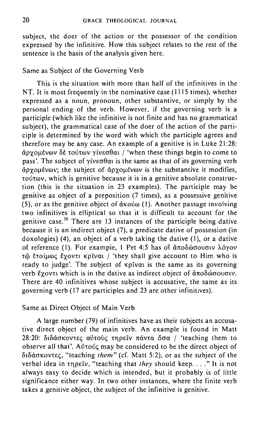subject, the doer of the action or the possessor of the condition expressed by the infinitive. How this subject relates to the rest of the sentence is the basis of the analysis given here.

### Same as Subject of the Governing Verb

This is the situation with more than half of the infinitives in the NT. It is most frequently in the nominative case (1115 times), whether expressed as a noun, pronoun, other substantive, or simply by the personal ending of the verb. However, if the governing verb is a participle (which like the infinitive is not finite and has no grammatical subject), the grammatical case of the doer of the action of the participle is determined by the word with which the participle agrees and therefore may be any case. An example of a genitive is in Luke 21 :28:  $\frac{\partial \alpha}{\partial x}$  and  $\frac{\partial \alpha}{\partial y}$  to  $\frac{\partial \alpha}{\partial y}$  vive  $\frac{\partial \alpha}{\partial y}$  / 'when these things begin to come to  $\overline{p}$  pass'. The subject of  $\overline{v}$  ive  $\overline{v}$  on is the same as that of its governing verb  $\alpha$   $\alpha$   $\beta$   $\gamma$  and  $\gamma$  is the substantive it modifies, tout to which is genitive because it is in a genitive absolute construction (this is the situation in 23 examples). The participle may be genitive as object of a preposition (7 times), as a possessive genitive  $(5)$ , or as the genitive object of  $\alpha$ Kov $\omega$  (1). Another passage involving two infinitives is elliptical so that it is difficult to account for the genitive case.<sup>38</sup> There are 13 instances of the participle being dative because it is an indirect object (7), a predicate dative of possession (in doxologies) (4), an object of a verb taking the dative (I), or a dative of reference (1). For example, 1 Pet 4:5 has οι άποδώσουσιν λόγον τῷ ετοίμως έχοντι κρίναι / 'they shall give account to Him who is ready to judge'. The subject of **Kpival** is the same as its governing verb Exovti which is in the dative as indirect object of  $\hat{\alpha}\pi$ o $\delta\hat{\omega}\sigma$ ovouv. There are 40 infinitives whose subject is accusative, the same as its governing verb (17 are participles and 23 are other infinitives).

### Same as Direct Object of Main Verb

A large number (79) of infinitives have as their subjects an accusative direct object of the main verb. An example is found in Matt  $28:20$ : διδάσκοντες αυτούς τηρεΐν πάντα όσα / 'teaching them to observe all that'. Autousc may be considered to be the direct object of διδάσκοντες, "teaching *them*" (cf. Matt 5:2), or as the subject of the verbal idea in τηρείν, "teaching that *they* should keep...." It is not always easy to decide which is intended, but it probably is of little significance either way. In two other instances, where the finite verb takes a genitive object, the subject of the infinitive is genitive.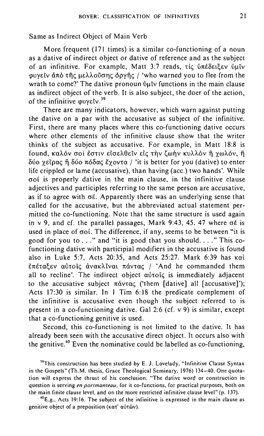Same as Indirect Object of Main Verb

More frequent (171 times) is a similar co-functioning of a noun as a dative of indirect object or dative of reference and as the subject of an infinitive. For example, Matt 3:7 reads, τις υπέδειξεν υμίν wvείν άπό της μελλούσης δργής / 'who warned you to flee from the wrath to come?' The dative pronoun  $\delta \mu \bar{\nu}$  functions in the main clause as indirect object of the verb. It is also subject, the doer of the action, of the infinitive  $\omega v \epsilon \nu$ .<sup>39</sup>

There are many indicators, however, which warn against putting the dative on a par with the accusative as subject of the infinitive. First, there are many places where this co-functioning dative occurs where other elements of the infinitive clause show that the writer thinks of the subject as accusative. For example, in Matt 18:8 is found, καλόν σοί έστιν είσελθεϊν είς την ζωήν κυλλόν ή χωλόν, ή δύο χεΐρας ή δύο πόδας έχοντα / 'it is better for you (dative) to enter life crippled or lame (accusative), than having (acc.) two hands'. While erot is properly dative in the main clause, in the infinitive clause adjectives and participles referring to the same person are accusative, as if to agree with  $\sigma \varepsilon$ . Apparently there was an underlying sense that called for the accusative, but the abbreviated actual statement permitted the co-functioning. Note that the same structure is used again in v 9, and cf. the parallel passages, Mark 9:43, 45, 47 where  $\sigma \epsilon$  is used in place of  $\sigma$ oi. The difference, if any, seems to be between "it is good for you to ..." and "it is good that you should...." This cofunctioning dative with participial modifiers in the accusative is found also in Luke 5:7, Acts 20:35, and Acts 25:27. Mark 6:39 has  $k$ ai επέταξεν αύτοις άνακλιναι πάντας / 'And he commanded them all to recline'. The indirect object  $\alpha\dot{\beta}$  at immediately adjacent to the accusative subject  $\pi\acute{\alpha}\nu\tau\alpha\zeta$  ('them [dative] all [accusative]'); Acts 17:30 is similar. **In** I Tim 6: 18 the predicate complement of the infinitive is accusative even though the subject referred to is present in a co-functioning dative. Gal 2:6 (cf. v 9) is similar, except that a co-functioning genitive is used.

Second, this co-functioning is not limited to the dative. **It** has already been seen with the accusative direct object. **It** occurs also with the genitive.<sup>40</sup> Even the nominative could be labelled as co-functioning,

<sup>39</sup>This construction has been studied by E. J. Lovelady, "Infinitive Clause Syntax in the Gospels" (Th.M. thesis. Grace Theological Seminary, 1976) 134-40. One quota**tion wi1l express the thrust of his conclusion: "The dative word or construction in question is serving** *en portmanteau,* **for it co-functions, for practical purposes. both on the main finite clause level, and on the more restricted infinitive clause level" (p. 137).** 

**4oE.g., Acts 19: 16. The subject of the infinitive is expressed in the main clause as genitive object of a preposition (κατ' αύτῶν).**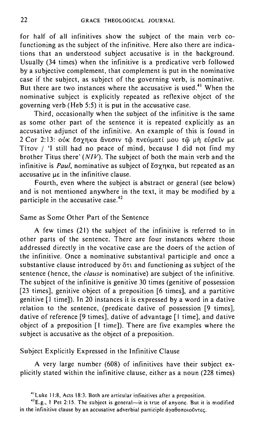for half of all infinitives show the subject of the main verb cofunctioning as the subject of the infinitive. Here also there are indications that an understood subject accusative is in the background. Usually (34 times) when the infinitive is a predicative verb followed by a subjective complement, that complement is put in the nominative case if the subject, as subject of the governing verb, is nominative. But there are two instances where the accusative is used.<sup>41</sup> When the nominative subject is explicitly repeated as reflexive object of the governing verb (Heb 5:5) it is put in the accusative case.

Third, occasionally when the subject of the infinitive is the same as some other part of the sentence it is repeated explicitly as an accusative adjunct of the infinitive. An example of this is found in 2 Cor 2:13: ούκ έσγηκα ἄνεσιν τῶ πνεύματί μου τῶ μὴ εὐρεῖν με TitOV I 'I still had no peace of mind, because I did not find my brother Titus there' (N/V). The subject of both the main verb and the infinitive is *Paul*, nominative as subject of  $\sharp \sigma \gamma n \kappa \alpha$ , but repeated as an accusative us in the infinitive clause.

Fourth, even where the subject is abstract or general (see below) and is not mentioned anywhere in the text, it may be modified by a participle in the accusative case. $42$ 

## Same as Some Other Part of the Sentence

A few times (21) the subject of the infinitive is referred to in other parts of the sentence. There are four instances where those addressed directly in the vocative case are the doers of the action of the infinitive. Once a nominative substantival participle and once a substantive clause introduced by  $\delta\tau$  and functioning as subject of the sentence (hence, the *clause* is nominative) are subject of the infinitive. The subject of the infinitive is genitive 30 times (genitive of possession [23 times], genitive object of a preposition [6 times], and a partitive genitive [I time]). In 20 instances it is expressed by a word in a dative relation to the sentence, (predicate dative of possession [9 times], dative of reference [9 times], dative of advantage [I time], and dative object of a preposition [\ time]). There are five examples where the subject is accusative as the object of a preposition.

### SUbject Explicitly Expressed in the Infinitive Clause

A very large number (608) of infinitives have their subject explicitly stated within the infinitive clause, either as a noun (228 times)

**41Luke 11:8, Acts 18:3. Both are articular infinitives after a preposition.** 

**42E.g., 1 Pet 2: IS. The subject is general-it is true of anyone. But it is modified in the infinitive clause by an accusative adverbial participle ayaeonotOuvn<;.**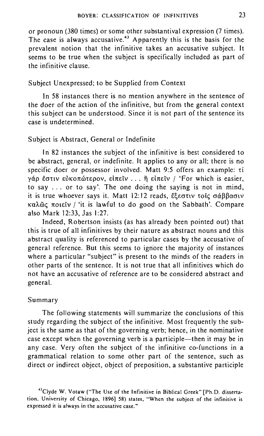or pronoun (380 times) or some other substantival expression (7 times). The case is always accusative.<sup>43</sup> Apparently this is the basis for the prevalent notion that the infinitive takes an accusative subject. It seems to be true when the subject is specifically included as part of the infinitive clause.

### Subject Unexpressed; to be Supplied from Context

In 58 instances there is no mention anywhere in the sentence of the doer of the action of the infinitive, but from the general context this subject can be understood. Since it is not part of the sentence its case is undetermined.

### Subject is Abstract, General or Indefinite

In 82 instances the subject of the infinitive is best considered to be abstract, general, or indefinite. It applies to any or all; there is no specific doer or possessor involved. Matt 9:5 offers an example: ti γάρ έστιν εὐκοπώτερον, εἰπεῖν ... ή εἰπεῖν / 'For which is easier, to say ... or to say'. The one doing the saying is not in mind, it is true whoever says it. Matt 12:12 reads,  $\bar{\xi} \xi \epsilon \sigma \tau \nu \tau \sigma \zeta \sigma \alpha \beta \beta \alpha \sigma \nu$ καλώς ποιείν / 'it is lawful to do good on the Sabbath'. Compare also Mark 12:33, Jas 1:27.

Indeed, Robertson insists (as has already been pointed out) that this is true of all infinitives by their nature as abstract nouns and this abstract quality is referenced to particular cases by the accusative of general reference. But this seems to ignore the majority of instances where a particular "subject" is present to the minds of the readers in other parts of the sentence. It is not true that all infinitives which do not have an accusative of reference are to be considered abstract and general.

### Summary

The following statements will summarize the conclusions of this study regarding the subject of the infinitive. Most frequently the subject is the same as that of the governing verb; hence, in the nominative case except when the governing verb is a participle—then it may be in any case. Very often the subject of the infinitive co-functions in a grammatical relation to some other part of the sentence, such as direct or indirect object, object of preposition, a substantive participle

<sup>&</sup>quot;Clyde W. Votaw ("The Use of the Infinitive in Biblical Greek" [Ph.D, disserta**tion, University of Chicago, 1896] 58) states. "When the subject of the infinitive is expressed it is always in the accusative case."**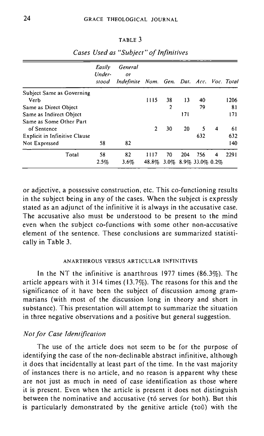#### TABLE 3

|                                        | Easily<br>Under-<br>stood | General<br>or<br>Indefinite Nom. Gen. Dat. Acc. Voc. Total |               |    |     |                             |   |      |
|----------------------------------------|---------------------------|------------------------------------------------------------|---------------|----|-----|-----------------------------|---|------|
| Subject Same as Governing              |                           |                                                            |               |    |     |                             |   |      |
| Verb                                   |                           |                                                            | 1115          | 38 | 13  | 40                          |   | 1206 |
| Same as Direct Object                  |                           |                                                            |               | 2  |     | 79                          |   | 81   |
| Same as Indirect Object                |                           |                                                            |               |    | 171 |                             |   | 171  |
| Same as Some Other Part<br>of Sentence |                           |                                                            | $\mathbf{2}$  | 30 | 20  | 5                           | 4 | 61   |
| Explicit in Infinitive Clause          |                           |                                                            |               |    |     | 632                         |   | 632  |
| Not Expressed                          | 58                        | 82                                                         |               |    |     |                             |   | 140  |
| Total                                  | 58<br>2.5%                | 82<br>3.6%                                                 | 1117<br>48.8% | 70 | 204 | 756<br>3.0% 8.9% 33.0% 0.2% | 4 | 2291 |

# *Cases Used as "Subject" of Infinitives*

or adjective, a possessive construction, etc. This co-functioning results in the subject being in any of the cases. When the subject is expressly stated as an adjunct of the infinitive it is always in the accusative case. The accusative also must be understood to be present to the mind even when the subject co-functions with some other non-accusative element of the sentence. These conclusions are summarized statistically in Table 3.

## ANARTHROUS VERSUS ARTICULAR INFINITIVES

In the NT the infinitive is anarthrous 1977 times (86.3%). The article appears with it 314 times (13.7%). The reasons for this and the significance of it have been the subject of discussion among grammarians (with most of the discussion long in theory and short in substance). This presentation will attempt to summarize the situation in three negative observations and a positive but general suggestion.

### *Notfor Case Identification*

The use of the article does not seem to be for the purpose of identifying the case of the non-declinable abstract infinitive, although it does that incidentally at least part of the time. In the vast majority of instances there is no article, and no reason is apparent why these are not just as much in need of case identification as those where it is present. Even when the article is present it does not distinguish between the nominative and accusative (tó serves for both). But this is particularly demonstrated by the genitive article ( $\tau$ o $\tilde{v}$ ) with the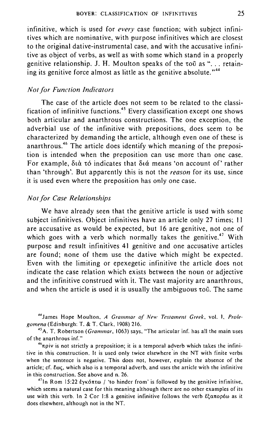infinitive, which is used for *every* case function; with subject infinitives which are nominative, with purpose infinitives which are closest to the original dative-instrumental case, and with the accusative infinitive 'as object of verbs, as well as with some which stand in a properly genitive relationship. J. H. Moulton speaks of the tou as ". . . retaining its genitive force almost as little as the genitive absolute. $144$ 

#### *Not for Function Indicators*

The case of the article does not seem to be related to the classification of infinitive functions. 45 Every classification except one shows both articular and anarthrous constructions. The one exception, the adverbial use of the infinitive with prepositions, does seem to be characterized by demanding the article, although even one of these is anarthrous.<sup>46</sup> The article does identify which meaning of the preposition is intended when the preposition can use more than one case. For example, διά τό indicates that διά means 'on account of' rather than 'through'. But apparently this is not the *reason* for its use, since it is used even where the preposition has only one case.

### *Notfor Case Relationships*

We have already seen that the genitive article is used with some subject infinitives. Object infinitives have an article only 27 times; II are accusative as would be expected, but 16 are genitive, not one of which goes with a verb which normally takes the genitive.<sup>47</sup> With purpose and result infinitives 41 genitive and one accusative articles are found; none of them use the dative which might be expected. Even with the limiting or epexegetic infinitive the article does not indicate the case relation which exists between the noun or adjective and the infinitive construed with it. The vast majority are anarthrous, and when the article is used it is usually the ambiguous too. The same

44James Hope Moulton, *A Grammar oj New Testament Greek ,* vol. I, *Prole*gomena (Edinburgh: T. & T. Clark, 1908) 216.

<sup>45</sup> A. T. Robertson (*Grammar*, 1063) says, "The articular inf. has all the main uses of the anarthrous inf."

 $46\pi$ piv is not strictly a preposition; it is a temporal adverb which takes the infinitive in this construction. It is used only twice elsewhere'in the NT with finite verbs when the sentence is negative. This does not, however, explain the absence of the article; cf.  $\ell\omega\varsigma$ , which also is a temporal adverb, and uses the article with the infinitive in this construction. See above and n. 26.

<sup>47</sup>In Rom 15:22  $\frac{2}{\sqrt{7}}$   $\frac{1}{\sqrt{7}}$  is hinder from' is followed by the genitive infinitive, which seems a natural case for this meaning although there are no other examples of its use with this verb. In 2 Cor 1:8 a genitive infinitive follows the verb  $\ell \xi \alpha \pi \omega \rho \epsilon \omega$  as it does elsewhere, although not in the NT.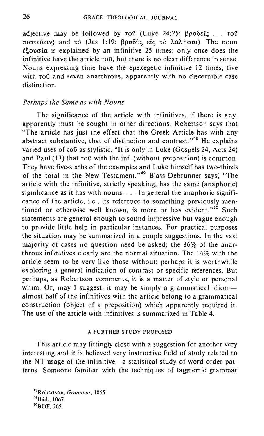adjective may be followed by  $\tau \in U$  (Luke 24:25:  $\beta \rho \alpha \delta \epsilon \tilde{\iota} \epsilon$ ...  $\tau \circ \tilde{\upsilon}$ πιστεύειν) and τό (Jas 1:19: βραδύς είς το λαλήσαι). The noun  $\epsilon$  couoia is explained by an infinitive 25 times; only once does the infinitive have the article too, but there is no clear difference in sense. Nouns expressing time have the epexegetic infinitive 12 times, five with tou and seven anarthrous, apparently with no discernible case distinction.

### *Perhaps the Same as with Nouns*

The significance of the article with infinitives, if there is any, apparently must be sought in other directions. Robertson says that "The article has just the effect that the Greek Article has with any abstract substantive, that of distinction and contrast."<sup>48</sup> He explains varied uses of tou as stylistic, "It is only in Luke (Gospels 24, Acts 24) and Paul  $(13)$  that  $\tau$ o $\tilde{U}$  with the inf. (without preposition) is common. They have five-sixths of the examples and Luke himself has two-thirds of the total in the New Testament."<sup>49</sup> Blass-Debrunner says, "The article with the infinitive, strictly speaking, has the same (anaphoric) significance as it has with nouns .... **In** general the anaphoric significance of the article, i.e., its reference to something previously mentioned or otherwise well known, is more or less evident."<sup>50</sup> Such statements are general enough to sound impressive but vague enough to provide little help in particular instances. For practical purposes the situation may be summarized in a couple suggestions. **In** the vast majority of cases no question need be asked; the 86% of the anarthrous infinitives clearly are the normal situation. The 14% with the article seem to be very like those without; perhaps it is worthwhile exploring a general indication of contrast or specific references. But perhaps, as Robertson comments, it is a matter of style or personal whim. Or, may I suggest, it may be simply a grammatical idiomalmost half of the infinitives with the article belong to a grammatical construction (object of a preposition) which apparently required it. The use of the article with infinitives is summarized in Table 4.

### A FURTHER STUDY PROPOSED

This article may fittingly close with a suggestion for another very interesting and it is believed very instructive field of study related to the NT usage of the infinitive-a statistical study of word order patterns. Someone familiar with the techniques of tagmemic grammar

**4SRobertson,** *Grammar. 1065.*  <sup>49</sup> lbid., 1067. soBDF,205.